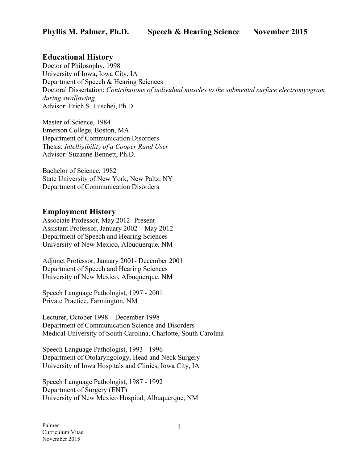# **Educational History**

Doctor of Philosophy, 1998 University of Iowa**,** Iowa City, IA Department of Speech & Hearing Sciences Doctoral Dissertation: *Contributions of individual muscles to the submental surface electromyogram during swallowing.* Advisor: Erich S. Luschei, Ph.D.

Master of Science, 1984 Emerson College, Boston, MA Department of Communication Disorders Thesis: *Intelligibility of a Cooper Rand User* Advisor: Suzanne Bennett, Ph.D.

Bachelor of Science, 1982 State University of New York, New Paltz, NY Department of Communication Disorders

# **Employment History**

Associate Professor, May 2012- Present Assistant Professor, January 2002 – May 2012 Department of Speech and Hearing Sciences University of New Mexico, Albuquerque, NM

Adjunct Professor, January 2001- December 2001 Department of Speech and Hearing Sciences University of New Mexico, Albuquerque, NM

Speech Language Pathologist, 1997 - 2001 Private Practice, Farmington, NM

Lecturer, October 1998 – December 1998 Department of Communication Science and Disorders Medical University of South Carolina, Charlotte, South Carolina

Speech Language Pathologist, 1993 - 1996 Department of Otolaryngology, Head and Neck Surgery University of Iowa Hospitals and Clinics, Iowa City, IA

Speech Language Pathologist, 1987 - 1992 Department of Surgery (ENT) University of New Mexico Hospital, Albuquerque, NM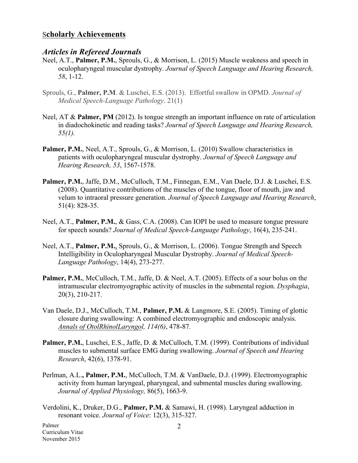#### S**cholarly Achievements**

#### *Articles in Refereed Journals*

- Neel, A.T., **Palmer, P.M.**, Sprouls, G., & Morrison, L. (2015) Muscle weakness and speech in oculopharyngeal muscular dystrophy. *Journal of Speech Language and Hearing Research, 58*, 1-12.
- Sprouls, G., **Palmer, P.M**. & Luschei, E.S. (2013). Effortful swallow in OPMD. *Journal of Medical Speech-Language Pathology*. 21(1)
- Neel, AT & **Palmer, PM** (2012). Is tongue strength an important influence on rate of articulation in diadochokinetic and reading tasks? *Journal of Speech Language and Hearing Research, 55(1).*
- **Palmer, P.M.**, Neel, A.T., Sprouls, G., & Morrison, L. (2010) Swallow characteristics in patients with oculopharyngeal muscular dystrophy. *Journal of Speech Language and Hearing Research, 53*, 1567-1578.
- Palmer, P.M., Jaffe, D.M., McCulloch, T.M., Finnegan, E.M., Van Daele, D.J. & Luschei, E.S. (2008). Quantitative contributions of the muscles of the tongue, floor of mouth, jaw and velum to intraoral pressure generation. *Journal of Speech Language and Hearing Research*, 51(4): 828-35.
- Neel, A.T., **Palmer, P.M.**, & Gass, C.A. (2008). Can IOPI be used to measure tongue pressure for speech sounds? *Journal of Medical Speech-Language Pathology*, 16(4), 235-241.
- Neel, A.T., **Palmer, P.M.**, Sprouls, G., & Morrison, L. (2006). Tongue Strength and Speech Intelligibility in Oculopharyngeal Muscular Dystrophy. *Journal of Medical Speech-Language Pathology*, 14(4), 273-277.
- Palmer, P.M., McCulloch, T.M., Jaffe, D. & Neel, A.T. (2005). Effects of a sour bolus on the intramuscular electromyographic activity of muscles in the submental region. *Dysphagia*, 20(3), 210-217.
- Van Daele, D.J., McCulloch, T.M., **Palmer, P.M.** & Langmore, S.E. (2005). Timing of glottic closure during swallowing: A combined electromyographic and endoscopic analysis. *Annals of OtolRhinolLaryngol, 114(6)*, 478-87*.*
- Palmer, P.M., Luschei, E.S., Jaffe, D. & McCulloch, T.M. (1999). Contributions of individual muscles to submental surface EMG during swallowing. *Journal of Speech and Hearing Research*, 42(6), 1378-91.
- Perlman, A.L.**, Palmer, P.M.**, McCulloch, T.M. & VanDaele, D.J. (1999). Electromyographic activity from human laryngeal, pharyngeal, and submental muscles during swallowing. *Journal of Applied Physiology,* 86(5), 1663-9.
- Verdolini, K., Druker, D.G., **Palmer, P.M.** & Samawi, H. (1998). Laryngeal adduction in resonant voice. *Journal of Voice*: 12(3), 315-327.

Palmer Curriculum Vitae November 2015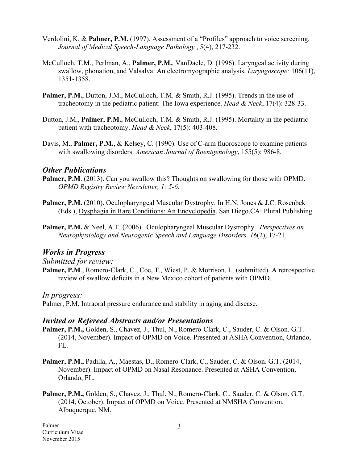- Verdolini, K. & **Palmer, P.M.** (1997). Assessment of a "Profiles" approach to voice screening. *Journal of Medical Speech-Language Pathology* , 5(4), 217-232.
- McCulloch, T.M., Perlman, A., **Palmer, P.M.**, VanDaele, D. (1996). Laryngeal activity during swallow, phonation, and Valsalva: An electromyographic analysis. *Laryngoscope:* 106(11), 1351-1358.
- **Palmer, P.M., Dutton, J.M., McCulloch, T.M. & Smith, R.J. (1995). Trends in the use of** tracheotomy in the pediatric patient: The Iowa experience. *Head & Neck*, 17(4): 328-33.
- Dutton, J.M., **Palmer, P.M.**, McCulloch, T.M. & Smith, R.J. (1995). Mortality in the pediatric patient with tracheotomy. *Head & Neck*, 17(5): 403-408.
- Davis, M., **Palmer, P.M.**, & Kelsey, C. (1990). Use of C-arm fluoroscope to examine patients with swallowing disorders. *American Journal of Roentgenology*, 155(5): 986-8.

## *Other Publications*

- **Palmer, P.M.** (2013). Can you swallow this? Thoughts on swallowing for those with OPMD. *OPMD Registry Review Newsletter, 1: 5-6.*
- **Palmer, P.M.** (2010). Oculopharyngeal Muscular Dystrophy. In H.N. Jones & J.C. Rosenbek (Eds.), Dysphagia in Rare Conditions: An Encyclopedia. San Diego,CA: Plural Publishing.
- **Palmer, P.M.** & Neel, A.T. (2006). Oculopharyngeal Muscular Dystrophy. *Perspectives on Neurophysiology and Neurogenic Speech and Language Disorders, 16*(2), 17-21.

## *Works in Progress*

#### *Submitted for review:*

Palmer, P.M., Romero-Clark, C., Coe, T., Wiest, P. & Morrison, L. (submitted). A retrospective review of swallow deficits in a New Mexico cohort of patients with OPMD.

*In progress:*

Palmer, P.M. Intraoral pressure endurance and stability in aging and disease.

#### *Invited or Refereed Abstracts and/or Presentations*

- Palmer, P.M., Golden, S., Chavez, J., Thul, N., Romero-Clark, C., Sauder, C. & Olson. G.T. (2014, November). Impact of OPMD on Voice. Presented at ASHA Convention, Orlando, FL.
- **Palmer, P.M.,** Padilla, A., Maestas, D., Romero-Clark, C., Sauder, C. & Olson. G.T. (2014, November). Impact of OPMD on Nasal Resonance. Presented at ASHA Convention, Orlando, FL.
- Palmer, P.M., Golden, S., Chavez, J., Thul, N., Romero-Clark, C., Sauder, C. & Olson. G.T. (2014, October). Impact of OPMD on Voice. Presented at NMSHA Convention, Albuquerque, NM.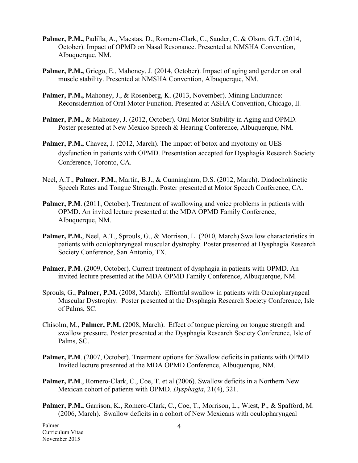- **Palmer, P.M.,** Padilla, A., Maestas, D., Romero-Clark, C., Sauder, C. & Olson. G.T. (2014, October). Impact of OPMD on Nasal Resonance. Presented at NMSHA Convention, Albuquerque, NM.
- **Palmer, P.M.,** Griego, E., Mahoney, J. (2014, October). Impact of aging and gender on oral muscle stability. Presented at NMSHA Convention, Albuquerque, NM.
- Palmer, P.M., Mahoney, J., & Rosenberg, K. (2013, November). Mining Endurance: Reconsideration of Oral Motor Function. Presented at ASHA Convention, Chicago, Il.
- Palmer, P.M., & Mahoney, J. (2012, October). Oral Motor Stability in Aging and OPMD. Poster presented at New Mexico Speech & Hearing Conference, Albuquerque, NM.
- **Palmer, P.M.,** Chavez, J. (2012, March). The impact of botox and myotomy on UES dysfunction in patients with OPMD. Presentation accepted for Dysphagia Research Society Conference, Toronto, CA.
- Neel, A.T., **Palmer. P.M**., Martin, B.J., & Cunningham, D.S. (2012, March). Diadochokinetic Speech Rates and Tongue Strength. Poster presented at Motor Speech Conference, CA.
- **Palmer, P.M.** (2011, October). Treatment of swallowing and voice problems in patients with OPMD. An invited lecture presented at the MDA OPMD Family Conference, Albuquerque, NM.
- Palmer, P.M., Neel, A.T., Sprouls, G., & Morrison, L. (2010, March) Swallow characteristics in patients with oculopharyngeal muscular dystrophy. Poster presented at Dysphagia Research Society Conference, San Antonio, TX.
- **Palmer, P.M**. (2009, October). Current treatment of dysphagia in patients with OPMD. An invited lecture presented at the MDA OPMD Family Conference, Albuquerque, NM.
- Sprouls, G., **Palmer, P.M.** (2008, March). Effortful swallow in patients with Oculopharyngeal Muscular Dystrophy. Poster presented at the Dysphagia Research Society Conference, Isle of Palms, SC.
- Chisolm, M., **Palmer, P.M.** (2008, March). Effect of tongue piercing on tongue strength and swallow pressure. Poster presented at the Dysphagia Research Society Conference, Isle of Palms, SC.
- **Palmer, P.M**. (2007, October). Treatment options for Swallow deficits in patients with OPMD. Invited lecture presented at the MDA OPMD Conference, Albuquerque, NM.
- **Palmer, P.M., Romero-Clark, C., Coe, T. et al (2006). Swallow deficits in a Northern New** Mexican cohort of patients with OPMD. *Dysphagia*, 21(4), 321.
- **Palmer, P.M.,** Garrison, K., Romero-Clark, C., Coe, T., Morrison, L., Wiest, P., & Spafford, M. (2006, March). Swallow deficits in a cohort of New Mexicans with oculopharyngeal

Palmer Curriculum Vitae November 2015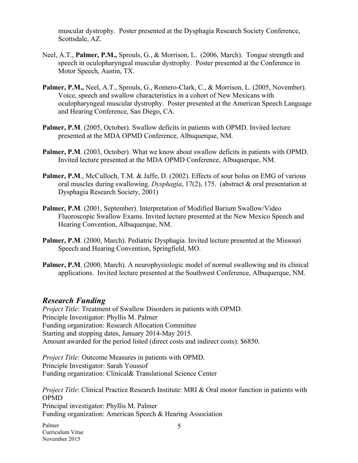muscular dystrophy. Poster presented at the Dysphagia Research Society Conference, Scottsdale, AZ.

- Neel, A.T., **Palmer, P.M.,** Sprouls, G., & Morrison, L. (2006, March). Tongue strength and speech in oculopharyngeal muscular dystrophy. Poster presented at the Conference in Motor Speech, Austin, TX.
- Palmer, P.M., Neel, A.T., Sprouls, G., Romero-Clark, C., & Morrison, L. (2005, November). Voice, speech and swallow characteristics in a cohort of New Mexicans with oculopharyngeal muscular dystrophy. Poster presented at the American Speech Language and Hearing Conference, San Diego, CA.
- **Palmer, P.M**. (2005, October). Swallow deficits in patients with OPMD. Invited lecture presented at the MDA OPMD Conference, Albuquerque, NM.
- **Palmer, P.M**. (2003, October). What we know about swallow deficits in patients with OPMD. Invited lecture presented at the MDA OPMD Conference, Albuquerque, NM.
- Palmer, P.M., McCulloch, T.M. & Jaffe, D. (2002). Effects of sour bolus on EMG of various oral muscles during swallowing. *Dysphagia*, 17(2), 175. (abstract & oral presentation at Dysphagia Research Society, 2001)
- **Palmer, P.M**. (2001, September). Interpretation of Modified Barium Swallow/Video Fluoroscopic Swallow Exams. Invited lecture presented at the New Mexico Speech and Hearing Convention, Albuquerque, NM.
- Palmer, P.M. (2000, March). Pediatric Dysphagia. Invited lecture presented at the Missouri Speech and Hearing Convention, Springfield, MO.
- **Palmer, P.M**. (2000, March). A neurophysiologic model of normal swallowing and its clinical applications. Invited lecture presented at the Southwest Conference, Albuquerque, NM.

## *Research Funding*

*Project Title:* Treatment of Swallow Disorders in patients with OPMD. Principle Investigator: Phyllis M. Palmer Funding organization: Research Allocation Committee Starting and stopping dates, January 2014-May 2015. Amount awarded for the period listed (direct costs and indirect costs): \$6850.

*Project Title:* Outcome Measures in patients with OPMD. Principle Investigator: Sarah Youssof Funding organization: Clinical& Translational Science Center

*Project Title*: Clinical Practice Research Institute: MRI & Oral motor function in patients with OPMD Principal investigator: Phyllis M. Palmer Funding organization: American Speech & Hearing Association

Palmer Curriculum Vitae November 2015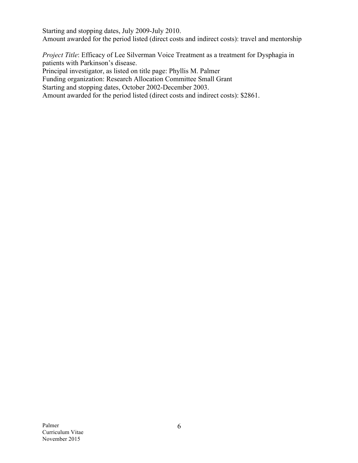Starting and stopping dates, July 2009-July 2010. Amount awarded for the period listed (direct costs and indirect costs): travel and mentorship

*Project Title*: Efficacy of Lee Silverman Voice Treatment as a treatment for Dysphagia in patients with Parkinson's disease.

Principal investigator, as listed on title page: Phyllis M. Palmer

Funding organization: Research Allocation Committee Small Grant

Starting and stopping dates, October 2002-December 2003.

Amount awarded for the period listed (direct costs and indirect costs): \$2861.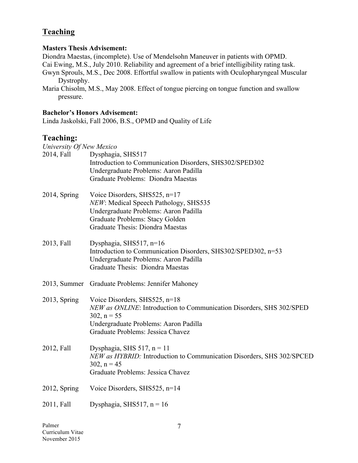# **Teaching**

#### **Masters Thesis Advisement:**

Diondra Maestas, (incomplete). Use of Mendelsohn Maneuver in patients with OPMD. Cai Ewing, M.S., July 2010. Reliability and agreement of a brief intelligibility rating task. Gwyn Sprouls, M.S., Dec 2008. Effortful swallow in patients with Oculopharyngeal Muscular Dystrophy.

Maria Chisolm, M.S., May 2008. Effect of tongue piercing on tongue function and swallow pressure.

#### **Bachelor's Honors Advisement:**

Linda Jaskolski, Fall 2006, B.S., OPMD and Quality of Life

# **Teaching:**

| University Of New Mexico |                                                                                                                                                                                                           |
|--------------------------|-----------------------------------------------------------------------------------------------------------------------------------------------------------------------------------------------------------|
| 2014, Fall               | Dysphagia, SHS517<br>Introduction to Communication Disorders, SHS302/SPED302<br>Undergraduate Problems: Aaron Padilla<br>Graduate Problems: Diondra Maestas                                               |
| $2014$ , Spring          | Voice Disorders, SHS525, n=17<br>NEW: Medical Speech Pathology, SHS535<br>Undergraduate Problems: Aaron Padilla<br>Graduate Problems: Stacy Golden<br>Graduate Thesis: Diondra Maestas                    |
| 2013, Fall               | Dysphagia, SHS517, n=16<br>Introduction to Communication Disorders, SHS302/SPED302, n=53<br>Undergraduate Problems: Aaron Padilla<br>Graduate Thesis: Diondra Maestas                                     |
|                          | 2013, Summer Graduate Problems: Jennifer Mahoney                                                                                                                                                          |
| $2013$ , Spring          | Voice Disorders, SHS525, $n=18$<br>NEW as ONLINE: Introduction to Communication Disorders, SHS 302/SPED<br>$302$ , $n = 55$<br>Undergraduate Problems: Aaron Padilla<br>Graduate Problems: Jessica Chavez |
| 2012, Fall               | Dysphagia, SHS 517, $n = 11$<br>NEW as HYBRID: Introduction to Communication Disorders, SHS 302/SPCED<br>$302$ , $n = 45$<br>Graduate Problems: Jessica Chavez                                            |
| $2012$ , Spring          | Voice Disorders, SHS525, n=14                                                                                                                                                                             |
| 2011, Fall               | Dysphagia, SHS517, $n = 16$                                                                                                                                                                               |
|                          |                                                                                                                                                                                                           |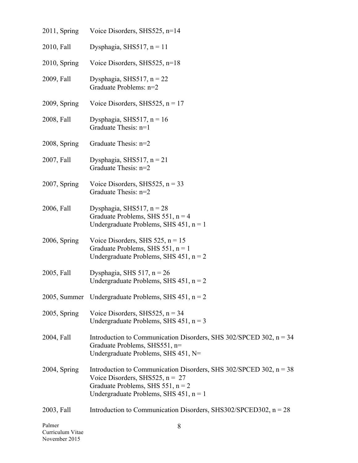| Palmer       | 8                                                                                                                                                                                                    |
|--------------|------------------------------------------------------------------------------------------------------------------------------------------------------------------------------------------------------|
| 2003, Fall   | Introduction to Communication Disorders, SHS302/SPCED302, $n = 28$                                                                                                                                   |
| 2004, Spring | Introduction to Communication Disorders, SHS $302/SPCED$ $302$ , $n = 38$<br>Voice Disorders, SHS525, $n = 27$<br>Graduate Problems, SHS 551, $n = 2$<br>Undergraduate Problems, SHS $451$ , $n = 1$ |
| 2004, Fall   | Introduction to Communication Disorders, SHS $302/SPCED$ $302$ , $n = 34$<br>Graduate Problems, SHS551, n=<br>Undergraduate Problems, SHS 451, N=                                                    |
| 2005, Spring | Voice Disorders, SHS525, $n = 34$<br>Undergraduate Problems, SHS $451$ , $n = 3$                                                                                                                     |
|              | 2005, Summer Undergraduate Problems, SHS $451$ , $n = 2$                                                                                                                                             |
| 2005, Fall   | Dysphagia, SHS 517, $n = 26$<br>Undergraduate Problems, SHS $451$ , $n = 2$                                                                                                                          |
| 2006, Spring | Voice Disorders, SHS 525, $n = 15$<br>Graduate Problems, SHS 551, $n = 1$<br>Undergraduate Problems, SHS $451$ , $n = 2$                                                                             |
| 2006, Fall   | Dysphagia, SHS517, $n = 28$<br>Graduate Problems, SHS 551, $n = 4$<br>Undergraduate Problems, SHS $451$ , $n = 1$                                                                                    |
| 2007, Spring | Voice Disorders, SHS525, $n = 33$<br>Graduate Thesis: n=2                                                                                                                                            |
| 2007, Fall   | Dysphagia, SHS517, $n = 21$<br>Graduate Thesis: n=2                                                                                                                                                  |
| 2008, Spring | Graduate Thesis: n=2                                                                                                                                                                                 |
| 2008, Fall   | Dysphagia, SHS517, $n = 16$<br>Graduate Thesis: n=1                                                                                                                                                  |
| 2009, Spring | Voice Disorders, SHS525, $n = 17$                                                                                                                                                                    |
| 2009, Fall   | Dysphagia, SHS517, $n = 22$<br>Graduate Problems: n=2                                                                                                                                                |
| 2010, Spring | Voice Disorders, SHS525, n=18                                                                                                                                                                        |
| 2010, Fall   | Dysphagia, SHS517, $n = 11$                                                                                                                                                                          |
| 2011, Spring | Voice Disorders, SHS525, $n=14$                                                                                                                                                                      |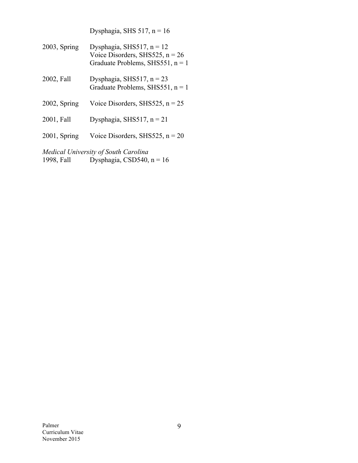|                                      | Dysphagia, SHS $517$ , $n = 16$                                                                        |  |  |
|--------------------------------------|--------------------------------------------------------------------------------------------------------|--|--|
| $2003$ , Spring                      | Dysphagia, SHS517, $n = 12$<br>Voice Disorders, SHS525, $n = 26$<br>Graduate Problems, SHS551, $n = 1$ |  |  |
| 2002, Fall                           | Dysphagia, SHS517, $n = 23$<br>Graduate Problems, SHS551, $n = 1$                                      |  |  |
| $2002$ , Spring                      | Voice Disorders, SHS525, $n = 25$                                                                      |  |  |
| 2001, Fall                           | Dysphagia, SHS517, $n = 21$                                                                            |  |  |
| $2001$ , Spring                      | Voice Disorders, SHS525, $n = 20$                                                                      |  |  |
| Medical University of South Carolina |                                                                                                        |  |  |

1998, Fall Dysphagia, CSD540,  $n = 16$